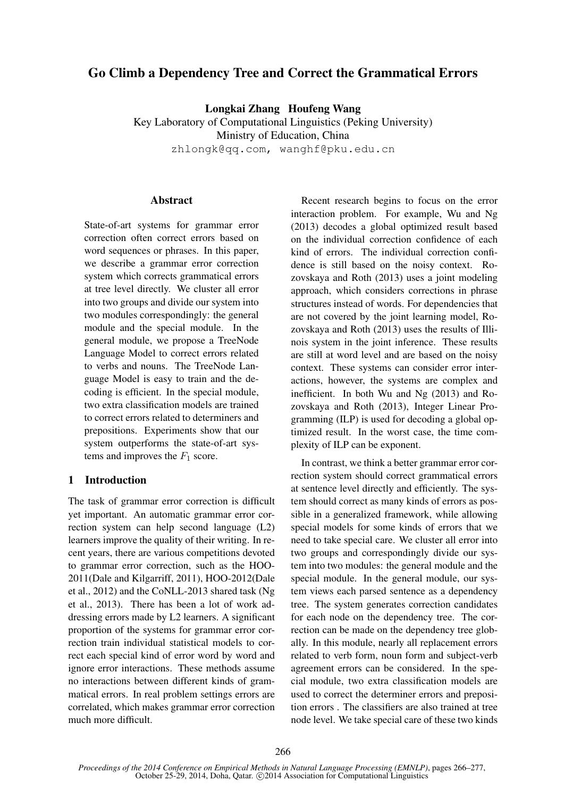# Go Climb a Dependency Tree and Correct the Grammatical Errors

Longkai Zhang Houfeng Wang Key Laboratory of Computational Linguistics (Peking University) Ministry of Education, China zhlongk@qq.com, wanghf@pku.edu.cn

## **Abstract**

State-of-art systems for grammar error correction often correct errors based on word sequences or phrases. In this paper, we describe a grammar error correction system which corrects grammatical errors at tree level directly. We cluster all error into two groups and divide our system into two modules correspondingly: the general module and the special module. In the general module, we propose a TreeNode Language Model to correct errors related to verbs and nouns. The TreeNode Language Model is easy to train and the decoding is efficient. In the special module, two extra classification models are trained to correct errors related to determiners and prepositions. Experiments show that our system outperforms the state-of-art systems and improves the  $F_1$  score.

## 1 Introduction

The task of grammar error correction is difficult yet important. An automatic grammar error correction system can help second language (L2) learners improve the quality of their writing. In recent years, there are various competitions devoted to grammar error correction, such as the HOO-2011(Dale and Kilgarriff, 2011), HOO-2012(Dale et al., 2012) and the CoNLL-2013 shared task (Ng et al., 2013). There has been a lot of work addressing errors made by L2 learners. A significant proportion of the systems for grammar error correction train individual statistical models to correct each special kind of error word by word and ignore error interactions. These methods assume no interactions between different kinds of grammatical errors. In real problem settings errors are correlated, which makes grammar error correction much more difficult.

Recent research begins to focus on the error interaction problem. For example, Wu and Ng (2013) decodes a global optimized result based on the individual correction confidence of each kind of errors. The individual correction confidence is still based on the noisy context. Rozovskaya and Roth (2013) uses a joint modeling approach, which considers corrections in phrase structures instead of words. For dependencies that are not covered by the joint learning model, Rozovskaya and Roth (2013) uses the results of Illinois system in the joint inference. These results are still at word level and are based on the noisy context. These systems can consider error interactions, however, the systems are complex and inefficient. In both Wu and Ng (2013) and Rozovskaya and Roth (2013), Integer Linear Programming (ILP) is used for decoding a global optimized result. In the worst case, the time complexity of ILP can be exponent.

In contrast, we think a better grammar error correction system should correct grammatical errors at sentence level directly and efficiently. The system should correct as many kinds of errors as possible in a generalized framework, while allowing special models for some kinds of errors that we need to take special care. We cluster all error into two groups and correspondingly divide our system into two modules: the general module and the special module. In the general module, our system views each parsed sentence as a dependency tree. The system generates correction candidates for each node on the dependency tree. The correction can be made on the dependency tree globally. In this module, nearly all replacement errors related to verb form, noun form and subject-verb agreement errors can be considered. In the special module, two extra classification models are used to correct the determiner errors and preposition errors . The classifiers are also trained at tree node level. We take special care of these two kinds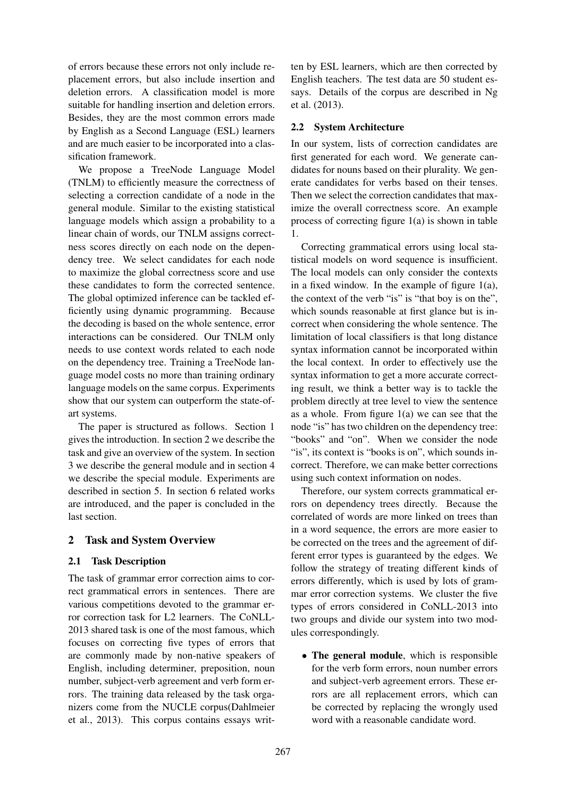of errors because these errors not only include replacement errors, but also include insertion and deletion errors. A classification model is more suitable for handling insertion and deletion errors. Besides, they are the most common errors made by English as a Second Language (ESL) learners and are much easier to be incorporated into a classification framework.

We propose a TreeNode Language Model (TNLM) to efficiently measure the correctness of selecting a correction candidate of a node in the general module. Similar to the existing statistical language models which assign a probability to a linear chain of words, our TNLM assigns correctness scores directly on each node on the dependency tree. We select candidates for each node to maximize the global correctness score and use these candidates to form the corrected sentence. The global optimized inference can be tackled efficiently using dynamic programming. Because the decoding is based on the whole sentence, error interactions can be considered. Our TNLM only needs to use context words related to each node on the dependency tree. Training a TreeNode language model costs no more than training ordinary language models on the same corpus. Experiments show that our system can outperform the state-ofart systems.

The paper is structured as follows. Section 1 gives the introduction. In section 2 we describe the task and give an overview of the system. In section 3 we describe the general module and in section 4 we describe the special module. Experiments are described in section 5. In section 6 related works are introduced, and the paper is concluded in the last section.

## 2 Task and System Overview

## 2.1 Task Description

The task of grammar error correction aims to correct grammatical errors in sentences. There are various competitions devoted to the grammar error correction task for L2 learners. The CoNLL-2013 shared task is one of the most famous, which focuses on correcting five types of errors that are commonly made by non-native speakers of English, including determiner, preposition, noun number, subject-verb agreement and verb form errors. The training data released by the task organizers come from the NUCLE corpus(Dahlmeier et al., 2013). This corpus contains essays written by ESL learners, which are then corrected by English teachers. The test data are 50 student essays. Details of the corpus are described in Ng et al. (2013).

## 2.2 System Architecture

In our system, lists of correction candidates are first generated for each word. We generate candidates for nouns based on their plurality. We generate candidates for verbs based on their tenses. Then we select the correction candidates that maximize the overall correctness score. An example process of correcting figure 1(a) is shown in table 1.

Correcting grammatical errors using local statistical models on word sequence is insufficient. The local models can only consider the contexts in a fixed window. In the example of figure  $1(a)$ , the context of the verb "is" is "that boy is on the", which sounds reasonable at first glance but is incorrect when considering the whole sentence. The limitation of local classifiers is that long distance syntax information cannot be incorporated within the local context. In order to effectively use the syntax information to get a more accurate correcting result, we think a better way is to tackle the problem directly at tree level to view the sentence as a whole. From figure 1(a) we can see that the node "is" has two children on the dependency tree: "books" and "on". When we consider the node "is", its context is "books is on", which sounds incorrect. Therefore, we can make better corrections using such context information on nodes.

Therefore, our system corrects grammatical errors on dependency trees directly. Because the correlated of words are more linked on trees than in a word sequence, the errors are more easier to be corrected on the trees and the agreement of different error types is guaranteed by the edges. We follow the strategy of treating different kinds of errors differently, which is used by lots of grammar error correction systems. We cluster the five types of errors considered in CoNLL-2013 into two groups and divide our system into two modules correspondingly.

• The general module, which is responsible for the verb form errors, noun number errors and subject-verb agreement errors. These errors are all replacement errors, which can be corrected by replacing the wrongly used word with a reasonable candidate word.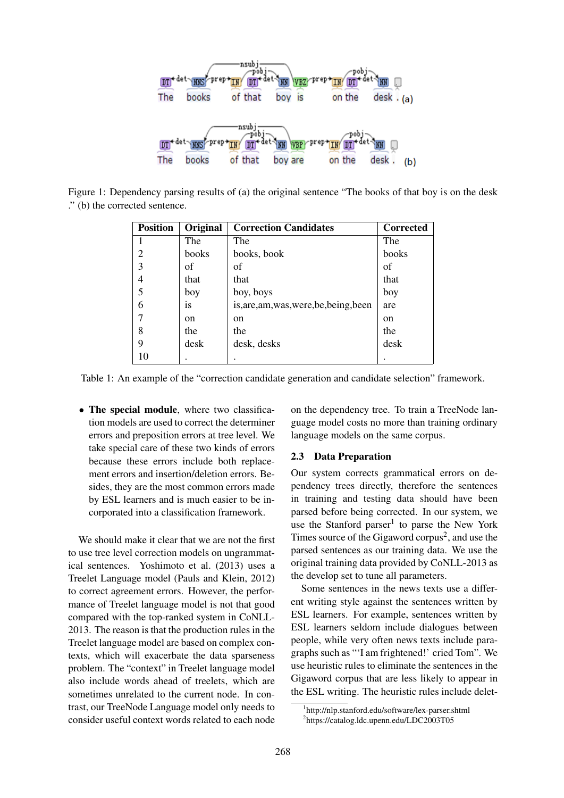

Figure 1: Dependency parsing results of (a) the original sentence "The books of that boy is on the desk ." (b) the corrected sentence.

| <b>Position</b> | Original | <b>Correction Candidates</b>            | <b>Corrected</b> |
|-----------------|----------|-----------------------------------------|------------------|
|                 | The      | The                                     | The              |
| 2               | books    | books, book                             | books            |
| 3               | of       | of                                      | of               |
| 4               | that     | that                                    | that             |
| 5               | boy      | boy, boys                               | boy              |
| 6               | is       | is, are, am, was, were, be, being, been | are              |
|                 | on       | <sub>on</sub>                           | on               |
| 8               | the      | the                                     | the              |
| 9               | desk     | desk, desks                             | desk             |
| 10              |          |                                         |                  |

Table 1: An example of the "correction candidate generation and candidate selection" framework.

• The special module, where two classification models are used to correct the determiner errors and preposition errors at tree level. We take special care of these two kinds of errors because these errors include both replacement errors and insertion/deletion errors. Besides, they are the most common errors made by ESL learners and is much easier to be incorporated into a classification framework.

We should make it clear that we are not the first to use tree level correction models on ungrammatical sentences. Yoshimoto et al. (2013) uses a Treelet Language model (Pauls and Klein, 2012) to correct agreement errors. However, the performance of Treelet language model is not that good compared with the top-ranked system in CoNLL-2013. The reason is that the production rules in the Treelet language model are based on complex contexts, which will exacerbate the data sparseness problem. The "context" in Treelet language model also include words ahead of treelets, which are sometimes unrelated to the current node. In contrast, our TreeNode Language model only needs to consider useful context words related to each node

on the dependency tree. To train a TreeNode language model costs no more than training ordinary language models on the same corpus.

## 2.3 Data Preparation

Our system corrects grammatical errors on dependency trees directly, therefore the sentences in training and testing data should have been parsed before being corrected. In our system, we use the Stanford parser<sup>1</sup> to parse the New York Times source of the Gigaword corpus<sup>2</sup>, and use the parsed sentences as our training data. We use the original training data provided by CoNLL-2013 as the develop set to tune all parameters.

Some sentences in the news texts use a different writing style against the sentences written by ESL learners. For example, sentences written by ESL learners seldom include dialogues between people, while very often news texts include paragraphs such as "'I am frightened!' cried Tom". We use heuristic rules to eliminate the sentences in the Gigaword corpus that are less likely to appear in the ESL writing. The heuristic rules include delet-

<sup>1</sup> http://nlp.stanford.edu/software/lex-parser.shtml 2 https://catalog.ldc.upenn.edu/LDC2003T05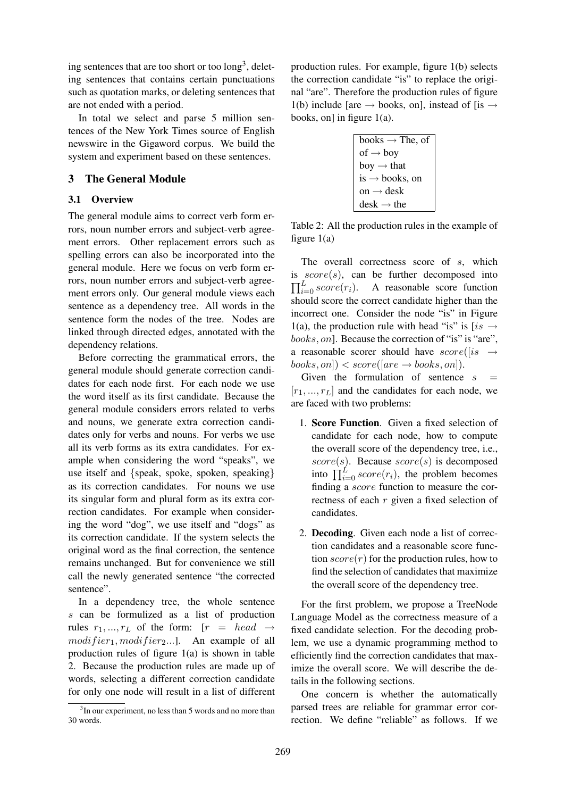ing sentences that are too short or too  $\text{long}^3$ , deleting sentences that contains certain punctuations such as quotation marks, or deleting sentences that are not ended with a period.

In total we select and parse 5 million sentences of the New York Times source of English newswire in the Gigaword corpus. We build the system and experiment based on these sentences.

## 3 The General Module

## 3.1 Overview

The general module aims to correct verb form errors, noun number errors and subject-verb agreement errors. Other replacement errors such as spelling errors can also be incorporated into the general module. Here we focus on verb form errors, noun number errors and subject-verb agreement errors only. Our general module views each sentence as a dependency tree. All words in the sentence form the nodes of the tree. Nodes are linked through directed edges, annotated with the dependency relations.

Before correcting the grammatical errors, the general module should generate correction candidates for each node first. For each node we use the word itself as its first candidate. Because the general module considers errors related to verbs and nouns, we generate extra correction candidates only for verbs and nouns. For verbs we use all its verb forms as its extra candidates. For example when considering the word "speaks", we use itself and {speak, spoke, spoken, speaking} as its correction candidates. For nouns we use its singular form and plural form as its extra correction candidates. For example when considering the word "dog", we use itself and "dogs" as its correction candidate. If the system selects the original word as the final correction, the sentence remains unchanged. But for convenience we still call the newly generated sentence "the corrected sentence".

In a dependency tree, the whole sentence s can be formulized as a list of production rules  $r_1, ..., r_L$  of the form:  $[r = head \rightarrow$  $modifier_1, modifier_2...$ ]. An example of all production rules of figure 1(a) is shown in table 2. Because the production rules are made up of words, selecting a different correction candidate for only one node will result in a list of different production rules. For example, figure 1(b) selects the correction candidate "is" to replace the original "are". Therefore the production rules of figure 1(b) include [are  $\rightarrow$  books, on], instead of [is  $\rightarrow$ books, on] in figure  $1(a)$ .



Table 2: All the production rules in the example of figure 1(a)

The overall correctness score of s, which is  $score(s)$ , can be further decomposed into  $\prod_{i=0}^{L} score(r_i)$ . A reasonable score function should score the correct candidate higher than the incorrect one. Consider the node "is" in Figure 1(a), the production rule with head "is" is [is  $\rightarrow$ books, on]. Because the correction of "is" is "are", a reasonable scorer should have  $score([is \rightarrow$  $books, on]$  <  $score([are \rightarrow books, on]).$ 

Given the formulation of sentence  $s =$  $[r_1, ..., r_L]$  and the candidates for each node, we are faced with two problems:

- 1. Score Function. Given a fixed selection of candidate for each node, how to compute the overall score of the dependency tree, i.e., score(s). Because  $score(s)$  is decomposed into  $\prod_{i=0}^{L} score(r_i)$ , the problem becomes finding a score function to measure the correctness of each r given a fixed selection of candidates.
- 2. Decoding. Given each node a list of correction candidates and a reasonable score function  $score(r)$  for the production rules, how to find the selection of candidates that maximize the overall score of the dependency tree.

For the first problem, we propose a TreeNode Language Model as the correctness measure of a fixed candidate selection. For the decoding problem, we use a dynamic programming method to efficiently find the correction candidates that maximize the overall score. We will describe the details in the following sections.

One concern is whether the automatically parsed trees are reliable for grammar error correction. We define "reliable" as follows. If we

<sup>&</sup>lt;sup>3</sup>In our experiment, no less than 5 words and no more than 30 words.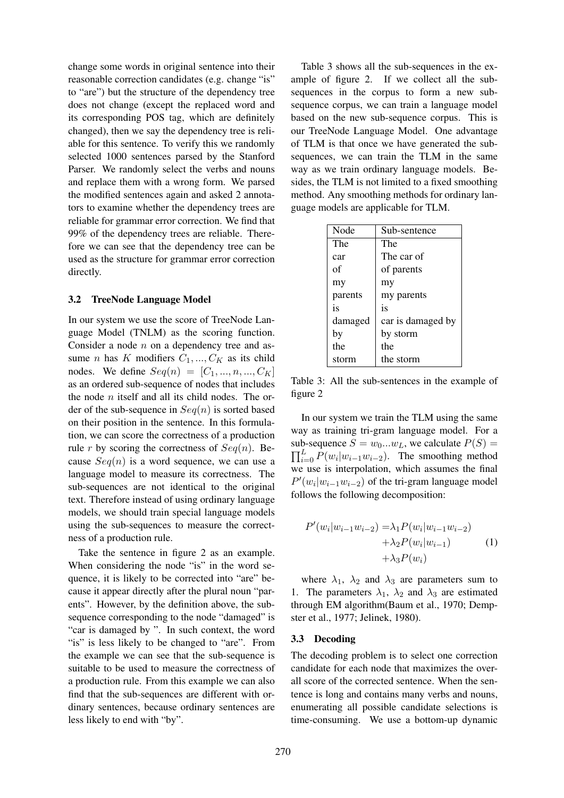change some words in original sentence into their reasonable correction candidates (e.g. change "is" to "are") but the structure of the dependency tree does not change (except the replaced word and its corresponding POS tag, which are definitely changed), then we say the dependency tree is reliable for this sentence. To verify this we randomly selected 1000 sentences parsed by the Stanford Parser. We randomly select the verbs and nouns and replace them with a wrong form. We parsed the modified sentences again and asked 2 annotators to examine whether the dependency trees are reliable for grammar error correction. We find that 99% of the dependency trees are reliable. Therefore we can see that the dependency tree can be used as the structure for grammar error correction directly.

### 3.2 TreeNode Language Model

In our system we use the score of TreeNode Language Model (TNLM) as the scoring function. Consider a node  $n$  on a dependency tree and assume *n* has K modifiers  $C_1, ..., C_K$  as its child nodes. We define  $Seq(n) = [C_1, ..., n, ..., C_K]$ as an ordered sub-sequence of nodes that includes the node  $n$  itself and all its child nodes. The order of the sub-sequence in  $Seq(n)$  is sorted based on their position in the sentence. In this formulation, we can score the correctness of a production rule r by scoring the correctness of  $Seq(n)$ . Because  $Seq(n)$  is a word sequence, we can use a language model to measure its correctness. The sub-sequences are not identical to the original text. Therefore instead of using ordinary language models, we should train special language models using the sub-sequences to measure the correctness of a production rule.

Take the sentence in figure 2 as an example. When considering the node "is" in the word sequence, it is likely to be corrected into "are" because it appear directly after the plural noun "parents". However, by the definition above, the subsequence corresponding to the node "damaged" is "car is damaged by ". In such context, the word "is" is less likely to be changed to "are". From the example we can see that the sub-sequence is suitable to be used to measure the correctness of a production rule. From this example we can also find that the sub-sequences are different with ordinary sentences, because ordinary sentences are less likely to end with "by".

Table 3 shows all the sub-sequences in the example of figure 2. If we collect all the subsequences in the corpus to form a new subsequence corpus, we can train a language model based on the new sub-sequence corpus. This is our TreeNode Language Model. One advantage of TLM is that once we have generated the subsequences, we can train the TLM in the same way as we train ordinary language models. Besides, the TLM is not limited to a fixed smoothing method. Any smoothing methods for ordinary language models are applicable for TLM.

| Node    | Sub-sentence      |
|---------|-------------------|
| The     | The               |
| car     | The car of        |
| of      | of parents        |
| my      | my                |
| parents | my parents        |
| is      | is                |
| damaged | car is damaged by |
| by      | by storm          |
| the     | the               |
| storm   | the storm         |

Table 3: All the sub-sentences in the example of figure 2

In our system we train the TLM using the same way as training tri-gram language model. For a sub-sequence  $S = w_0...w_L$ , we calculate  $P(S) =$  $\prod_{i=0}^{L} P(w_i | w_{i-1}w_{i-2})$ . The smoothing method we use is interpolation, which assumes the final  $P'(w_i|w_{i-1}w_{i-2})$  of the tri-gram language model follows the following decomposition:

$$
P'(w_i|w_{i-1}w_{i-2}) = \lambda_1 P(w_i|w_{i-1}w_{i-2}) + \lambda_2 P(w_i|w_{i-1})
$$
  
+  $\lambda_3 P(w_i)$  (1)

where  $\lambda_1$ ,  $\lambda_2$  and  $\lambda_3$  are parameters sum to 1. The parameters  $\lambda_1$ ,  $\lambda_2$  and  $\lambda_3$  are estimated through EM algorithm(Baum et al., 1970; Dempster et al., 1977; Jelinek, 1980).

#### 3.3 Decoding

The decoding problem is to select one correction candidate for each node that maximizes the overall score of the corrected sentence. When the sentence is long and contains many verbs and nouns, enumerating all possible candidate selections is time-consuming. We use a bottom-up dynamic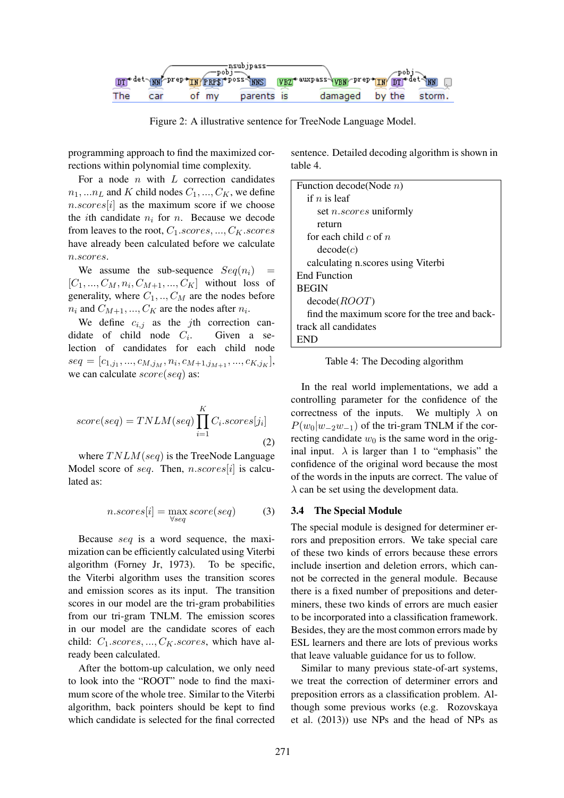

Figure 2: A illustrative sentence for TreeNode Language Model.

programming approach to find the maximized corrections within polynomial time complexity.

For a node  $n$  with  $L$  correction candidates  $n_1, \ldots n_L$  and K child nodes  $C_1, \ldots, C_K$ , we define  $n.scores[i]$  as the maximum score if we choose the *i*th candidate  $n_i$  for n. Because we decode from leaves to the root,  $C_1 \text{.scores}, ..., C_K \text{. scores}$ have already been calculated before we calculate n.scores.

We assume the sub-sequence  $Seq(n_i)$  =  $[C_1, ..., C_M, n_i, C_{M+1}, ..., C_K]$  without loss of generality, where  $C_1, ..., C_M$  are the nodes before  $n_i$  and  $C_{M+1},...,C_K$  are the nodes after  $n_i$ .

We define  $c_{i,j}$  as the jth correction candidate of child node  $C_i$ . Given a selection of candidates for each child node  $\textit{seq} = [c_{1,j_1},...,c_{M,j_M},n_i,c_{M+1,j_{M+1}},...,c_{K,j_K}],$ we can calculate  $score(seq)$  as:

$$
score(seq) = TNLM(seq) \prod_{i=1}^{K} C_i \cdot scores[j_i]
$$
\n(2)

where  $TNLM(seq)$  is the TreeNode Language Model score of seq. Then,  $n.scores[i]$  is calculated as:

$$
n.scores[i] = \max_{\forall seq} score(seq) \qquad (3)
$$

Because seq is a word sequence, the maximization can be efficiently calculated using Viterbi algorithm (Forney Jr, 1973). To be specific, the Viterbi algorithm uses the transition scores and emission scores as its input. The transition scores in our model are the tri-gram probabilities from our tri-gram TNLM. The emission scores in our model are the candidate scores of each child:  $C_1 \text{.scores}, \dots, C_K \text{. scores},$  which have already been calculated.

After the bottom-up calculation, we only need to look into the "ROOT" node to find the maximum score of the whole tree. Similar to the Viterbi algorithm, back pointers should be kept to find which candidate is selected for the final corrected

sentence. Detailed decoding algorithm is shown in table 4.

| Function decode(Node $n$ )                    |
|-----------------------------------------------|
| if $n$ is leaf                                |
| set <i>n.scores</i> uniformly                 |
| return                                        |
| for each child c of $n$                       |
| decode(c)                                     |
| calculating n.scores using Viterbi            |
| <b>End Function</b>                           |
| <b>BEGIN</b>                                  |
| decode (ROOT)                                 |
| find the maximum score for the tree and back- |
| track all candidates                          |
|                                               |

Table 4: The Decoding algorithm

In the real world implementations, we add a controlling parameter for the confidence of the correctness of the inputs. We multiply  $\lambda$  on  $P(w_0|w_{-2}w_{-1})$  of the tri-gram TNLM if the correcting candidate  $w_0$  is the same word in the original input.  $\lambda$  is larger than 1 to "emphasis" the confidence of the original word because the most of the words in the inputs are correct. The value of  $\lambda$  can be set using the development data.

#### 3.4 The Special Module

The special module is designed for determiner errors and preposition errors. We take special care of these two kinds of errors because these errors include insertion and deletion errors, which cannot be corrected in the general module. Because there is a fixed number of prepositions and determiners, these two kinds of errors are much easier to be incorporated into a classification framework. Besides, they are the most common errors made by ESL learners and there are lots of previous works that leave valuable guidance for us to follow.

Similar to many previous state-of-art systems, we treat the correction of determiner errors and preposition errors as a classification problem. Although some previous works (e.g. Rozovskaya et al. (2013)) use NPs and the head of NPs as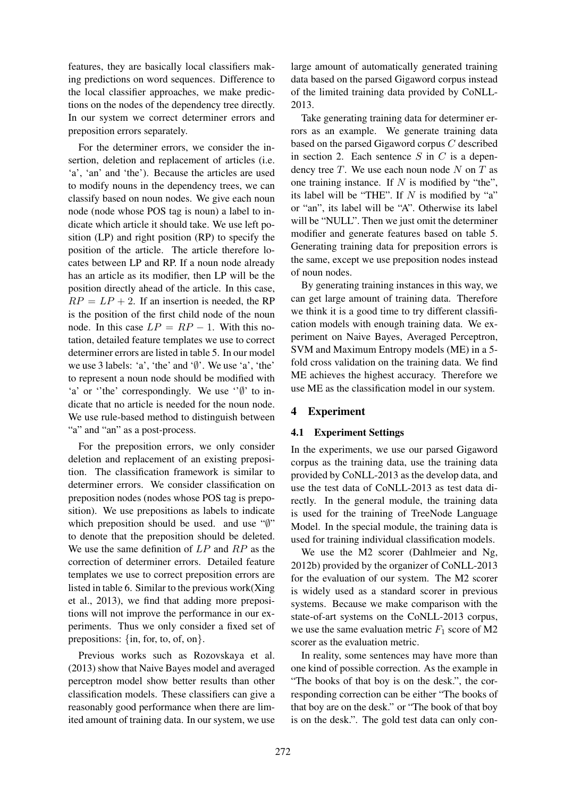features, they are basically local classifiers making predictions on word sequences. Difference to the local classifier approaches, we make predictions on the nodes of the dependency tree directly. In our system we correct determiner errors and preposition errors separately.

For the determiner errors, we consider the insertion, deletion and replacement of articles (i.e. 'a', 'an' and 'the'). Because the articles are used to modify nouns in the dependency trees, we can classify based on noun nodes. We give each noun node (node whose POS tag is noun) a label to indicate which article it should take. We use left position (LP) and right position (RP) to specify the position of the article. The article therefore locates between LP and RP. If a noun node already has an article as its modifier, then LP will be the position directly ahead of the article. In this case,  $RP = LP + 2$ . If an insertion is needed, the RP is the position of the first child node of the noun node. In this case  $LP = RP - 1$ . With this notation, detailed feature templates we use to correct determiner errors are listed in table 5. In our model we use 3 labels: 'a', 'the' and '∅'. We use 'a', 'the' to represent a noun node should be modified with 'a' or ''the' correspondingly. We use ''∅' to indicate that no article is needed for the noun node. We use rule-based method to distinguish between "a" and "an" as a post-process.

For the preposition errors, we only consider deletion and replacement of an existing preposition. The classification framework is similar to determiner errors. We consider classification on preposition nodes (nodes whose POS tag is preposition). We use prepositions as labels to indicate which preposition should be used. and use "∅" to denote that the preposition should be deleted. We use the same definition of LP and RP as the correction of determiner errors. Detailed feature templates we use to correct preposition errors are listed in table 6. Similar to the previous work(Xing et al., 2013), we find that adding more prepositions will not improve the performance in our experiments. Thus we only consider a fixed set of prepositions: {in, for, to, of, on}.

Previous works such as Rozovskaya et al. (2013) show that Naive Bayes model and averaged perceptron model show better results than other classification models. These classifiers can give a reasonably good performance when there are limited amount of training data. In our system, we use

large amount of automatically generated training data based on the parsed Gigaword corpus instead of the limited training data provided by CoNLL-2013.

Take generating training data for determiner errors as an example. We generate training data based on the parsed Gigaword corpus C described in section 2. Each sentence  $S$  in  $C$  is a dependency tree  $T$ . We use each noun node  $N$  on  $T$  as one training instance. If  $N$  is modified by "the", its label will be "THE". If  $N$  is modified by "a" or "an", its label will be "A". Otherwise its label will be "NULL". Then we just omit the determiner modifier and generate features based on table 5. Generating training data for preposition errors is the same, except we use preposition nodes instead of noun nodes.

By generating training instances in this way, we can get large amount of training data. Therefore we think it is a good time to try different classification models with enough training data. We experiment on Naive Bayes, Averaged Perceptron, SVM and Maximum Entropy models (ME) in a 5 fold cross validation on the training data. We find ME achieves the highest accuracy. Therefore we use ME as the classification model in our system.

### 4 Experiment

### 4.1 Experiment Settings

In the experiments, we use our parsed Gigaword corpus as the training data, use the training data provided by CoNLL-2013 as the develop data, and use the test data of CoNLL-2013 as test data directly. In the general module, the training data is used for the training of TreeNode Language Model. In the special module, the training data is used for training individual classification models.

We use the M2 scorer (Dahlmeier and Ng, 2012b) provided by the organizer of CoNLL-2013 for the evaluation of our system. The M2 scorer is widely used as a standard scorer in previous systems. Because we make comparison with the state-of-art systems on the CoNLL-2013 corpus, we use the same evaluation metric  $F_1$  score of M2 scorer as the evaluation metric.

In reality, some sentences may have more than one kind of possible correction. As the example in "The books of that boy is on the desk.", the corresponding correction can be either "The books of that boy are on the desk." or "The book of that boy is on the desk.". The gold test data can only con-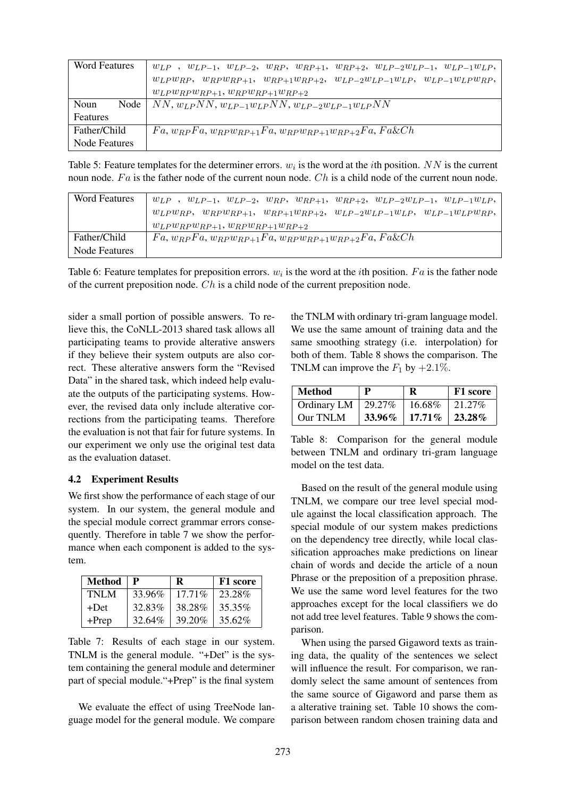| <b>Word Features</b> | $w_{LP}$ , $w_{LP-1}$ , $w_{LP-2}$ , $w_{RP}$ , $w_{RP+1}$ , $w_{RP+2}$ , $w_{LP-2}w_{LP-1}$ , $w_{LP-1}w_{LP}$ , |
|----------------------|-------------------------------------------------------------------------------------------------------------------|
|                      | $w_{LP}w_{RP}, w_{RP}w_{RP+1}, w_{RP+1}w_{RP+2}, w_{LP-2}w_{LP-1}w_{LP}, w_{LP-1}w_{LP}w_{RP},$                   |
|                      | $w_{LP}w_{RP}w_{RP+1}, w_{RP}w_{RP+1}w_{RP+2}$                                                                    |
| Noun                 | Node   NN, $w_{LP}NN$ , $w_{LP-1}w_{LP}NN$ , $w_{LP-2}w_{LP-1}w_{LP}NN$                                           |
| Features             |                                                                                                                   |
| Father/Child         | $F_a, w_{RP}F_a, w_{RP}w_{RP+1}F_a, w_{RP}w_{RP+1}w_{RP+2}F_a, F_a \& Ch$                                         |
| Node Features        |                                                                                                                   |

Table 5: Feature templates for the determiner errors.  $w_i$  is the word at the *i*th position. NN is the current noun node. Fa is the father node of the current noun node. Ch is a child node of the current noun node.

| <b>Word Features</b> | $w_{LP}$ , $w_{LP-1}$ , $w_{LP-2}$ , $w_{RP}$ , $w_{RP+1}$ , $w_{RP+2}$ , $w_{LP-2}w_{LP-1}$ , $w_{LP-1}w_{LP}$ , |
|----------------------|-------------------------------------------------------------------------------------------------------------------|
|                      | $w_{LP}w_{RP}, w_{RP}w_{RP+1}, w_{RP+1}w_{RP+2}, w_{LP-2}w_{LP-1}w_{LP}, w_{LP-1}w_{LP}w_{RP},$                   |
|                      | $w_{LP}w_{RP}w_{RP+1}, w_{RP}w_{RP+1}w_{RP+2}$                                                                    |
| Father/Child         | $F_a, w_{RP}F_a, w_{RP}w_{RP+1}Fa, w_{RP}w_{RP+1}w_{RP+2}Fa, Fa\&Ch$                                              |
| Node Features        |                                                                                                                   |

Table 6: Feature templates for preposition errors.  $w_i$  is the word at the *i*th position. Fa is the father node of the current preposition node. Ch is a child node of the current preposition node.

sider a small portion of possible answers. To relieve this, the CoNLL-2013 shared task allows all participating teams to provide alterative answers if they believe their system outputs are also correct. These alterative answers form the "Revised Data" in the shared task, which indeed help evaluate the outputs of the participating systems. However, the revised data only include alterative corrections from the participating teams. Therefore the evaluation is not that fair for future systems. In our experiment we only use the original test data as the evaluation dataset.

### 4.2 Experiment Results

We first show the performance of each stage of our system. In our system, the general module and the special module correct grammar errors consequently. Therefore in table 7 we show the performance when each component is added to the system.

| <b>Method</b> | $\mathbf{P}$ | R         | F1 score  |
|---------------|--------------|-----------|-----------|
| TNLM          | 33.96%       | $17.71\%$ | 23.28%    |
| $+Det$        | 32.83%       | 38.28%    | 35.35%    |
| $+$ Prep      | 32.64%       | 39.20%    | $35.62\%$ |

Table 7: Results of each stage in our system. TNLM is the general module. "+Det" is the system containing the general module and determiner part of special module."+Prep" is the final system

We evaluate the effect of using TreeNode language model for the general module. We compare the TNLM with ordinary tri-gram language model. We use the same amount of training data and the same smoothing strategy (i.e. interpolation) for both of them. Table 8 shows the comparison. The TNLM can improve the  $F_1$  by  $+2.1\%$ .

| <b>Method</b> | P      | R         | F1 score |
|---------------|--------|-----------|----------|
| Ordinary LM   | 29.27% | 16.68%    | 21.27\%  |
| Our TNLM      | 33.96% | $17.71\%$ | 23.28%   |

Table 8: Comparison for the general module between TNLM and ordinary tri-gram language model on the test data.

Based on the result of the general module using TNLM, we compare our tree level special module against the local classification approach. The special module of our system makes predictions on the dependency tree directly, while local classification approaches make predictions on linear chain of words and decide the article of a noun Phrase or the preposition of a preposition phrase. We use the same word level features for the two approaches except for the local classifiers we do not add tree level features. Table 9 shows the comparison.

When using the parsed Gigaword texts as training data, the quality of the sentences we select will influence the result. For comparison, we randomly select the same amount of sentences from the same source of Gigaword and parse them as a alterative training set. Table 10 shows the comparison between random chosen training data and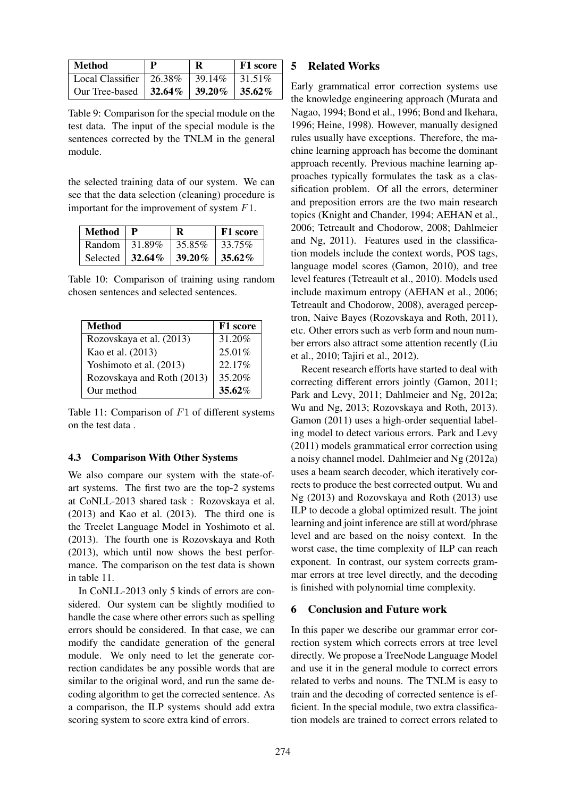| Method                                      | $\mathbf p$ | R | F1 score |
|---------------------------------------------|-------------|---|----------|
| Local Classifier   26.38%   39.14%   31.51% |             |   |          |
| Our Tree-based   32.64%   39.20%   35.62%   |             |   |          |

Table 9: Comparison for the special module on the test data. The input of the special module is the sentences corrected by the TNLM in the general module.

the selected training data of our system. We can see that the data selection (cleaning) procedure is important for the improvement of system F1.

| Method $\ $ P           | R         | F1 score  |
|-------------------------|-----------|-----------|
| Random $\vert$ 31.89%   | 35.85%    | 33.75%    |
| Selected $\vert$ 32.64% | $39.20\%$ | $35.62\%$ |

Table 10: Comparison of training using random chosen sentences and selected sentences.

| <b>Method</b>              | F1 score |
|----------------------------|----------|
| Rozovskaya et al. (2013)   | 31.20%   |
| Kao et al. (2013)          | 25.01%   |
| Yoshimoto et al. (2013)    | 22.17%   |
| Rozovskaya and Roth (2013) | 35.20%   |
| Our method                 | 35.62%   |

Table 11: Comparison of  $F1$  of different systems on the test data .

### 4.3 Comparison With Other Systems

We also compare our system with the state-ofart systems. The first two are the top-2 systems at CoNLL-2013 shared task : Rozovskaya et al. (2013) and Kao et al. (2013). The third one is the Treelet Language Model in Yoshimoto et al. (2013). The fourth one is Rozovskaya and Roth (2013), which until now shows the best performance. The comparison on the test data is shown in table 11.

In CoNLL-2013 only 5 kinds of errors are considered. Our system can be slightly modified to handle the case where other errors such as spelling errors should be considered. In that case, we can modify the candidate generation of the general module. We only need to let the generate correction candidates be any possible words that are similar to the original word, and run the same decoding algorithm to get the corrected sentence. As a comparison, the ILP systems should add extra scoring system to score extra kind of errors.

### 5 Related Works

Early grammatical error correction systems use the knowledge engineering approach (Murata and Nagao, 1994; Bond et al., 1996; Bond and Ikehara, 1996; Heine, 1998). However, manually designed rules usually have exceptions. Therefore, the machine learning approach has become the dominant approach recently. Previous machine learning approaches typically formulates the task as a classification problem. Of all the errors, determiner and preposition errors are the two main research topics (Knight and Chander, 1994; AEHAN et al., 2006; Tetreault and Chodorow, 2008; Dahlmeier and Ng, 2011). Features used in the classification models include the context words, POS tags, language model scores (Gamon, 2010), and tree level features (Tetreault et al., 2010). Models used include maximum entropy (AEHAN et al., 2006; Tetreault and Chodorow, 2008), averaged perceptron, Naive Bayes (Rozovskaya and Roth, 2011), etc. Other errors such as verb form and noun number errors also attract some attention recently (Liu et al., 2010; Tajiri et al., 2012).

Recent research efforts have started to deal with correcting different errors jointly (Gamon, 2011; Park and Levy, 2011; Dahlmeier and Ng, 2012a; Wu and Ng, 2013; Rozovskaya and Roth, 2013). Gamon (2011) uses a high-order sequential labeling model to detect various errors. Park and Levy (2011) models grammatical error correction using a noisy channel model. Dahlmeier and Ng (2012a) uses a beam search decoder, which iteratively corrects to produce the best corrected output. Wu and Ng (2013) and Rozovskaya and Roth (2013) use ILP to decode a global optimized result. The joint learning and joint inference are still at word/phrase level and are based on the noisy context. In the worst case, the time complexity of ILP can reach exponent. In contrast, our system corrects grammar errors at tree level directly, and the decoding is finished with polynomial time complexity.

### 6 Conclusion and Future work

In this paper we describe our grammar error correction system which corrects errors at tree level directly. We propose a TreeNode Language Model and use it in the general module to correct errors related to verbs and nouns. The TNLM is easy to train and the decoding of corrected sentence is efficient. In the special module, two extra classification models are trained to correct errors related to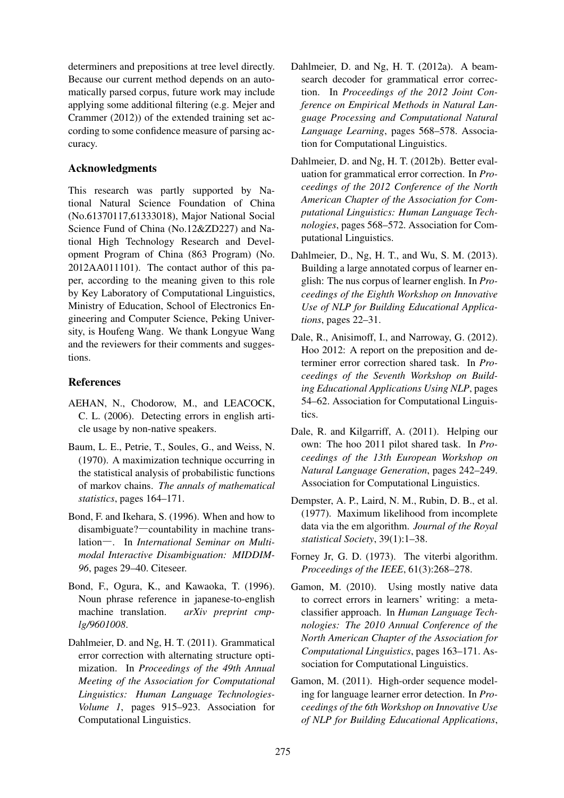determiners and prepositions at tree level directly. Because our current method depends on an automatically parsed corpus, future work may include applying some additional filtering (e.g. Mejer and Crammer (2012)) of the extended training set according to some confidence measure of parsing accuracy.

## Acknowledgments

This research was partly supported by National Natural Science Foundation of China (No.61370117,61333018), Major National Social Science Fund of China (No.12&ZD227) and National High Technology Research and Development Program of China (863 Program) (No. 2012AA011101). The contact author of this paper, according to the meaning given to this role by Key Laboratory of Computational Linguistics, Ministry of Education, School of Electronics Engineering and Computer Science, Peking University, is Houfeng Wang. We thank Longyue Wang and the reviewers for their comments and suggestions.

## References

- AEHAN, N., Chodorow, M., and LEACOCK, C. L. (2006). Detecting errors in english article usage by non-native speakers.
- Baum, L. E., Petrie, T., Soules, G., and Weiss, N. (1970). A maximization technique occurring in the statistical analysis of probabilistic functions of markov chains. *The annals of mathematical statistics*, pages 164–171.
- Bond, F. and Ikehara, S. (1996). When and how to disambiguate?—countability in machine translation—. In *International Seminar on Multimodal Interactive Disambiguation: MIDDIM-96*, pages 29–40. Citeseer.
- Bond, F., Ogura, K., and Kawaoka, T. (1996). Noun phrase reference in japanese-to-english machine translation. *arXiv preprint cmplg/9601008*.
- Dahlmeier, D. and Ng, H. T. (2011). Grammatical error correction with alternating structure optimization. In *Proceedings of the 49th Annual Meeting of the Association for Computational Linguistics: Human Language Technologies-Volume 1*, pages 915–923. Association for Computational Linguistics.
- Dahlmeier, D. and Ng, H. T. (2012a). A beamsearch decoder for grammatical error correction. In *Proceedings of the 2012 Joint Conference on Empirical Methods in Natural Language Processing and Computational Natural Language Learning*, pages 568–578. Association for Computational Linguistics.
- Dahlmeier, D. and Ng, H. T. (2012b). Better evaluation for grammatical error correction. In *Proceedings of the 2012 Conference of the North American Chapter of the Association for Computational Linguistics: Human Language Technologies*, pages 568–572. Association for Computational Linguistics.
- Dahlmeier, D., Ng, H. T., and Wu, S. M. (2013). Building a large annotated corpus of learner english: The nus corpus of learner english. In *Proceedings of the Eighth Workshop on Innovative Use of NLP for Building Educational Applications*, pages 22–31.
- Dale, R., Anisimoff, I., and Narroway, G. (2012). Hoo 2012: A report on the preposition and determiner error correction shared task. In *Proceedings of the Seventh Workshop on Building Educational Applications Using NLP*, pages 54–62. Association for Computational Linguistics.
- Dale, R. and Kilgarriff, A. (2011). Helping our own: The hoo 2011 pilot shared task. In *Proceedings of the 13th European Workshop on Natural Language Generation*, pages 242–249. Association for Computational Linguistics.
- Dempster, A. P., Laird, N. M., Rubin, D. B., et al. (1977). Maximum likelihood from incomplete data via the em algorithm. *Journal of the Royal statistical Society*, 39(1):1–38.
- Forney Jr, G. D. (1973). The viterbi algorithm. *Proceedings of the IEEE*, 61(3):268–278.
- Gamon, M. (2010). Using mostly native data to correct errors in learners' writing: a metaclassifier approach. In *Human Language Technologies: The 2010 Annual Conference of the North American Chapter of the Association for Computational Linguistics*, pages 163–171. Association for Computational Linguistics.
- Gamon, M. (2011). High-order sequence modeling for language learner error detection. In *Proceedings of the 6th Workshop on Innovative Use of NLP for Building Educational Applications*,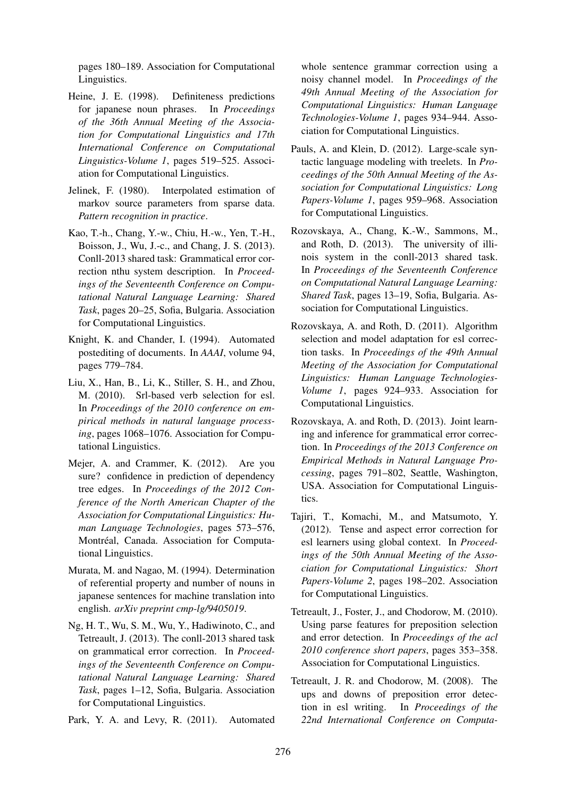pages 180–189. Association for Computational Linguistics.

- Heine, J. E. (1998). Definiteness predictions for japanese noun phrases. In *Proceedings of the 36th Annual Meeting of the Association for Computational Linguistics and 17th International Conference on Computational Linguistics-Volume 1*, pages 519–525. Association for Computational Linguistics.
- Jelinek, F. (1980). Interpolated estimation of markov source parameters from sparse data. *Pattern recognition in practice*.
- Kao, T.-h., Chang, Y.-w., Chiu, H.-w., Yen, T.-H., Boisson, J., Wu, J.-c., and Chang, J. S. (2013). Conll-2013 shared task: Grammatical error correction nthu system description. In *Proceedings of the Seventeenth Conference on Computational Natural Language Learning: Shared Task*, pages 20–25, Sofia, Bulgaria. Association for Computational Linguistics.
- Knight, K. and Chander, I. (1994). Automated postediting of documents. In *AAAI*, volume 94, pages 779–784.
- Liu, X., Han, B., Li, K., Stiller, S. H., and Zhou, M. (2010). Srl-based verb selection for esl. In *Proceedings of the 2010 conference on empirical methods in natural language processing*, pages 1068–1076. Association for Computational Linguistics.
- Mejer, A. and Crammer, K. (2012). Are you sure? confidence in prediction of dependency tree edges. In *Proceedings of the 2012 Conference of the North American Chapter of the Association for Computational Linguistics: Human Language Technologies*, pages 573–576, Montréal, Canada. Association for Computational Linguistics.
- Murata, M. and Nagao, M. (1994). Determination of referential property and number of nouns in japanese sentences for machine translation into english. *arXiv preprint cmp-lg/9405019*.
- Ng, H. T., Wu, S. M., Wu, Y., Hadiwinoto, C., and Tetreault, J. (2013). The conll-2013 shared task on grammatical error correction. In *Proceedings of the Seventeenth Conference on Computational Natural Language Learning: Shared Task*, pages 1–12, Sofia, Bulgaria. Association for Computational Linguistics.
- Park, Y. A. and Levy, R. (2011). Automated

whole sentence grammar correction using a noisy channel model. In *Proceedings of the 49th Annual Meeting of the Association for Computational Linguistics: Human Language Technologies-Volume 1*, pages 934–944. Association for Computational Linguistics.

- Pauls, A. and Klein, D. (2012). Large-scale syntactic language modeling with treelets. In *Proceedings of the 50th Annual Meeting of the Association for Computational Linguistics: Long Papers-Volume 1*, pages 959–968. Association for Computational Linguistics.
- Rozovskaya, A., Chang, K.-W., Sammons, M., and Roth, D. (2013). The university of illinois system in the conll-2013 shared task. In *Proceedings of the Seventeenth Conference on Computational Natural Language Learning: Shared Task*, pages 13–19, Sofia, Bulgaria. Association for Computational Linguistics.
- Rozovskaya, A. and Roth, D. (2011). Algorithm selection and model adaptation for esl correction tasks. In *Proceedings of the 49th Annual Meeting of the Association for Computational Linguistics: Human Language Technologies-Volume 1*, pages 924–933. Association for Computational Linguistics.
- Rozovskaya, A. and Roth, D. (2013). Joint learning and inference for grammatical error correction. In *Proceedings of the 2013 Conference on Empirical Methods in Natural Language Processing*, pages 791–802, Seattle, Washington, USA. Association for Computational Linguistics.
- Tajiri, T., Komachi, M., and Matsumoto, Y. (2012). Tense and aspect error correction for esl learners using global context. In *Proceedings of the 50th Annual Meeting of the Association for Computational Linguistics: Short Papers-Volume 2*, pages 198–202. Association for Computational Linguistics.
- Tetreault, J., Foster, J., and Chodorow, M. (2010). Using parse features for preposition selection and error detection. In *Proceedings of the acl 2010 conference short papers*, pages 353–358. Association for Computational Linguistics.
- Tetreault, J. R. and Chodorow, M. (2008). The ups and downs of preposition error detection in esl writing. In *Proceedings of the 22nd International Conference on Computa-*